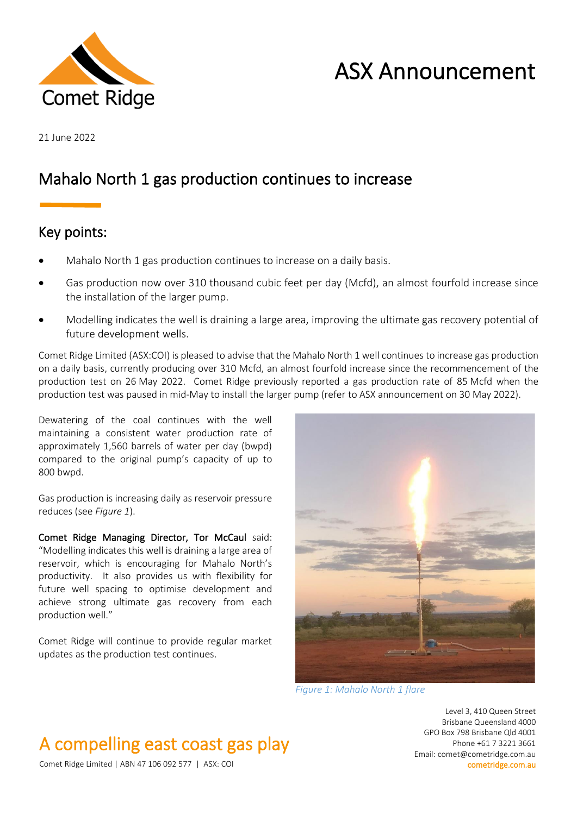

# ASX Announcement

21 June 2022

### Mahalo North 1 gas production continues to increase

### Key points:

- Mahalo North 1 gas production continues to increase on a daily basis.
- Gas production now over 310 thousand cubic feet per day (Mcfd), an almost fourfold increase since the installation of the larger pump.
- Modelling indicates the well is draining a large area, improving the ultimate gas recovery potential of future development wells.

Comet Ridge Limited (ASX:COI) is pleased to advise that the Mahalo North 1 well continues to increase gas production on a daily basis, currently producing over 310 Mcfd, an almost fourfold increase since the recommencement of the production test on 26 May 2022. Comet Ridge previously reported a gas production rate of 85 Mcfd when the production test was paused in mid-May to install the larger pump (refer to ASX announcement on 30 May 2022).

Dewatering of the coal continues with the well maintaining a consistent water production rate of approximately 1,560 barrels of water per day (bwpd) compared to the original pump's capacity of up to 800 bwpd.

Gas production is increasing daily as reservoir pressure reduces (see *Figure 1*).

Comet Ridge Managing Director, Tor McCaul said: "Modelling indicates this well is draining a large area of reservoir, which is encouraging for Mahalo North's productivity. It also provides us with flexibility for future well spacing to optimise development and achieve strong ultimate gas recovery from each production well."

Comet Ridge will continue to provide regular market updates as the production test continues.



*Figure 1: Mahalo North 1 flare*

Level 3, 410 Queen Street Brisbane Queensland 4000 GPO Box 798 Brisbane Qld 4001 Phone +61 7 3221 3661 Email: comet@cometridge.com.au

## A compelling east coast gas play

Comet Ridge Limited | ABN 47 106 092 577 | ASX: COI cometridge.com.au cometridge.com.au